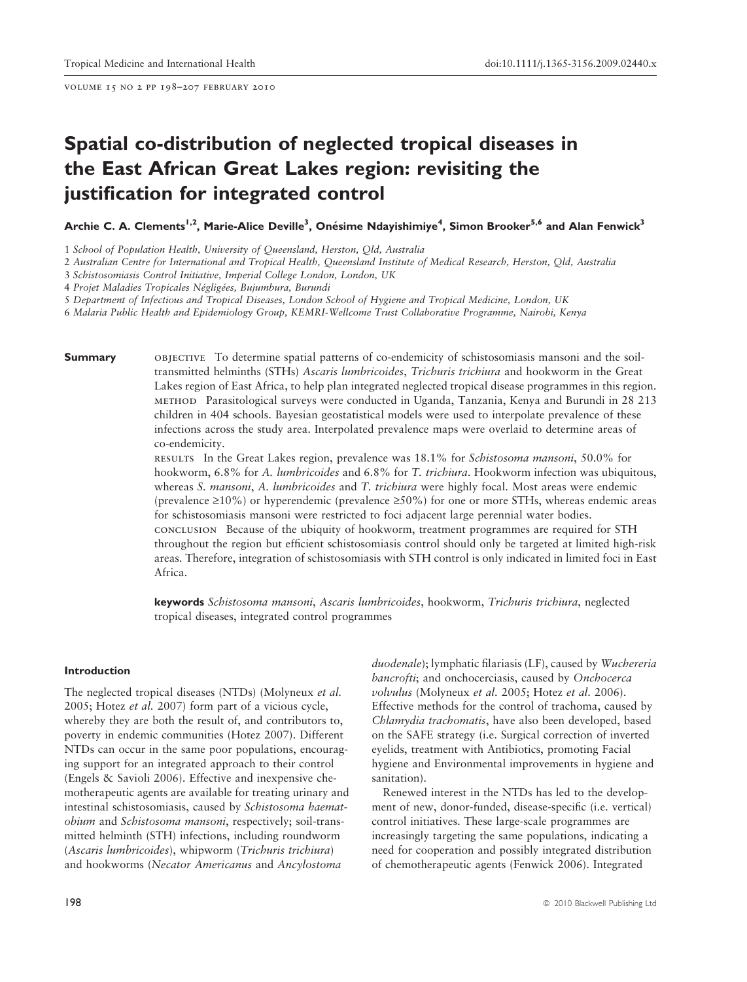volume 15 no 2 pp 198–207 february 2010

# Spatial co-distribution of neglected tropical diseases in the East African Great Lakes region: revisiting the justification for integrated control

Archie C. A. Clements<sup>1,2</sup>, Marie-Alice Deville<sup>3</sup>, Onésime Ndayishimiye<sup>4</sup>, Simon Brooker<sup>5,6</sup> and Alan Fenwick<sup>3</sup>

1 School of Population Health, University of Queensland, Herston, Qld, Australia

2 Australian Centre for International and Tropical Health, Queensland Institute of Medical Research, Herston, Qld, Australia

3 Schistosomiasis Control Initiative, Imperial College London, London, UK

4 Projet Maladies Tropicales Négligées, Bujumbura, Burundi

5 Department of Infectious and Tropical Diseases, London School of Hygiene and Tropical Medicine, London, UK

6 Malaria Public Health and Epidemiology Group, KEMRI-Wellcome Trust Collaborative Programme, Nairobi, Kenya

Summary **OBJECTIVE** To determine spatial patterns of co-endemicity of schistosomiasis mansoni and the soiltransmitted helminths (STHs) Ascaris lumbricoides, Trichuris trichiura and hookworm in the Great Lakes region of East Africa, to help plan integrated neglected tropical disease programmes in this region. method Parasitological surveys were conducted in Uganda, Tanzania, Kenya and Burundi in 28 213 children in 404 schools. Bayesian geostatistical models were used to interpolate prevalence of these infections across the study area. Interpolated prevalence maps were overlaid to determine areas of co-endemicity.

> results In the Great Lakes region, prevalence was 18.1% for Schistosoma mansoni, 50.0% for hookworm, 6.8% for A. lumbricoides and 6.8% for T. trichiura. Hookworm infection was ubiquitous, whereas *S. mansoni*, *A. lumbricoides* and *T. trichiura* were highly focal. Most areas were endemic (prevalence  $\geq 10\%$ ) or hyperendemic (prevalence  $\geq 50\%$ ) for one or more STHs, whereas endemic areas for schistosomiasis mansoni were restricted to foci adjacent large perennial water bodies. conclusion Because of the ubiquity of hookworm, treatment programmes are required for STH throughout the region but efficient schistosomiasis control should only be targeted at limited high-risk areas. Therefore, integration of schistosomiasis with STH control is only indicated in limited foci in East Africa.

keywords Schistosoma mansoni, Ascaris lumbricoides, hookworm, Trichuris trichiura, neglected tropical diseases, integrated control programmes

#### Introduction

The neglected tropical diseases (NTDs) (Molyneux et al. 2005; Hotez et al. 2007) form part of a vicious cycle, whereby they are both the result of, and contributors to, poverty in endemic communities (Hotez 2007). Different NTDs can occur in the same poor populations, encouraging support for an integrated approach to their control (Engels & Savioli 2006). Effective and inexpensive chemotherapeutic agents are available for treating urinary and intestinal schistosomiasis, caused by Schistosoma haematobium and Schistosoma mansoni, respectively; soil-transmitted helminth (STH) infections, including roundworm (Ascaris lumbricoides), whipworm (Trichuris trichiura) and hookworms (Necator Americanus and Ancylostoma

duodenale); lymphatic filariasis (LF), caused by Wuchereria bancrofti; and onchocerciasis, caused by Onchocerca volvulus (Molyneux et al. 2005; Hotez et al. 2006). Effective methods for the control of trachoma, caused by Chlamydia trachomatis, have also been developed, based on the SAFE strategy (i.e. Surgical correction of inverted eyelids, treatment with Antibiotics, promoting Facial hygiene and Environmental improvements in hygiene and sanitation).

Renewed interest in the NTDs has led to the development of new, donor-funded, disease-specific (i.e. vertical) control initiatives. These large-scale programmes are increasingly targeting the same populations, indicating a need for cooperation and possibly integrated distribution of chemotherapeutic agents (Fenwick 2006). Integrated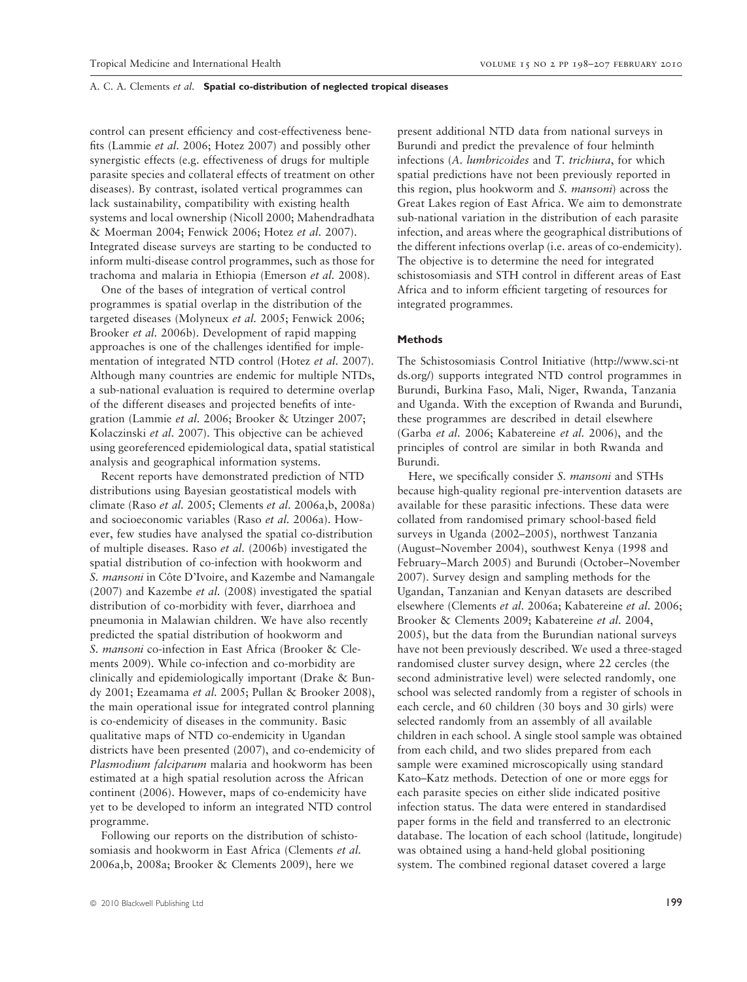control can present efficiency and cost-effectiveness benefits (Lammie et al. 2006; Hotez 2007) and possibly other synergistic effects (e.g. effectiveness of drugs for multiple parasite species and collateral effects of treatment on other diseases). By contrast, isolated vertical programmes can lack sustainability, compatibility with existing health systems and local ownership (Nicoll 2000; Mahendradhata & Moerman 2004; Fenwick 2006; Hotez et al. 2007). Integrated disease surveys are starting to be conducted to inform multi-disease control programmes, such as those for trachoma and malaria in Ethiopia (Emerson et al. 2008).

One of the bases of integration of vertical control programmes is spatial overlap in the distribution of the targeted diseases (Molyneux et al. 2005; Fenwick 2006; Brooker et al. 2006b). Development of rapid mapping approaches is one of the challenges identified for implementation of integrated NTD control (Hotez et al. 2007). Although many countries are endemic for multiple NTDs, a sub-national evaluation is required to determine overlap of the different diseases and projected benefits of integration (Lammie et al. 2006; Brooker & Utzinger 2007; Kolaczinski et al. 2007). This objective can be achieved using georeferenced epidemiological data, spatial statistical analysis and geographical information systems.

Recent reports have demonstrated prediction of NTD distributions using Bayesian geostatistical models with climate (Raso et al. 2005; Clements et al. 2006a,b, 2008a) and socioeconomic variables (Raso et al. 2006a). However, few studies have analysed the spatial co-distribution of multiple diseases. Raso et al. (2006b) investigated the spatial distribution of co-infection with hookworm and S. *mansoni* in Côte D'Ivoire, and Kazembe and Namangale (2007) and Kazembe et al. (2008) investigated the spatial distribution of co-morbidity with fever, diarrhoea and pneumonia in Malawian children. We have also recently predicted the spatial distribution of hookworm and S. mansoni co-infection in East Africa (Brooker & Clements 2009). While co-infection and co-morbidity are clinically and epidemiologically important (Drake & Bundy 2001; Ezeamama et al. 2005; Pullan & Brooker 2008), the main operational issue for integrated control planning is co-endemicity of diseases in the community. Basic qualitative maps of NTD co-endemicity in Ugandan districts have been presented (2007), and co-endemicity of Plasmodium falciparum malaria and hookworm has been estimated at a high spatial resolution across the African continent (2006). However, maps of co-endemicity have yet to be developed to inform an integrated NTD control programme.

Following our reports on the distribution of schistosomiasis and hookworm in East Africa (Clements et al. 2006a,b, 2008a; Brooker & Clements 2009), here we

present additional NTD data from national surveys in Burundi and predict the prevalence of four helminth infections (A. lumbricoides and T. trichiura, for which spatial predictions have not been previously reported in this region, plus hookworm and S. mansoni) across the Great Lakes region of East Africa. We aim to demonstrate sub-national variation in the distribution of each parasite infection, and areas where the geographical distributions of the different infections overlap (i.e. areas of co-endemicity). The objective is to determine the need for integrated schistosomiasis and STH control in different areas of East Africa and to inform efficient targeting of resources for integrated programmes.

#### **Methods**

The Schistosomiasis Control Initiative (http://www.sci-nt ds.org/) supports integrated NTD control programmes in Burundi, Burkina Faso, Mali, Niger, Rwanda, Tanzania and Uganda. With the exception of Rwanda and Burundi, these programmes are described in detail elsewhere (Garba et al. 2006; Kabatereine et al. 2006), and the principles of control are similar in both Rwanda and Burundi.

Here, we specifically consider S. mansoni and STHs because high-quality regional pre-intervention datasets are available for these parasitic infections. These data were collated from randomised primary school-based field surveys in Uganda (2002–2005), northwest Tanzania (August–November 2004), southwest Kenya (1998 and February–March 2005) and Burundi (October–November 2007). Survey design and sampling methods for the Ugandan, Tanzanian and Kenyan datasets are described elsewhere (Clements et al. 2006a; Kabatereine et al. 2006; Brooker & Clements 2009; Kabatereine et al. 2004, 2005), but the data from the Burundian national surveys have not been previously described. We used a three-staged randomised cluster survey design, where 22 cercles (the second administrative level) were selected randomly, one school was selected randomly from a register of schools in each cercle, and 60 children (30 boys and 30 girls) were selected randomly from an assembly of all available children in each school. A single stool sample was obtained from each child, and two slides prepared from each sample were examined microscopically using standard Kato–Katz methods. Detection of one or more eggs for each parasite species on either slide indicated positive infection status. The data were entered in standardised paper forms in the field and transferred to an electronic database. The location of each school (latitude, longitude) was obtained using a hand-held global positioning system. The combined regional dataset covered a large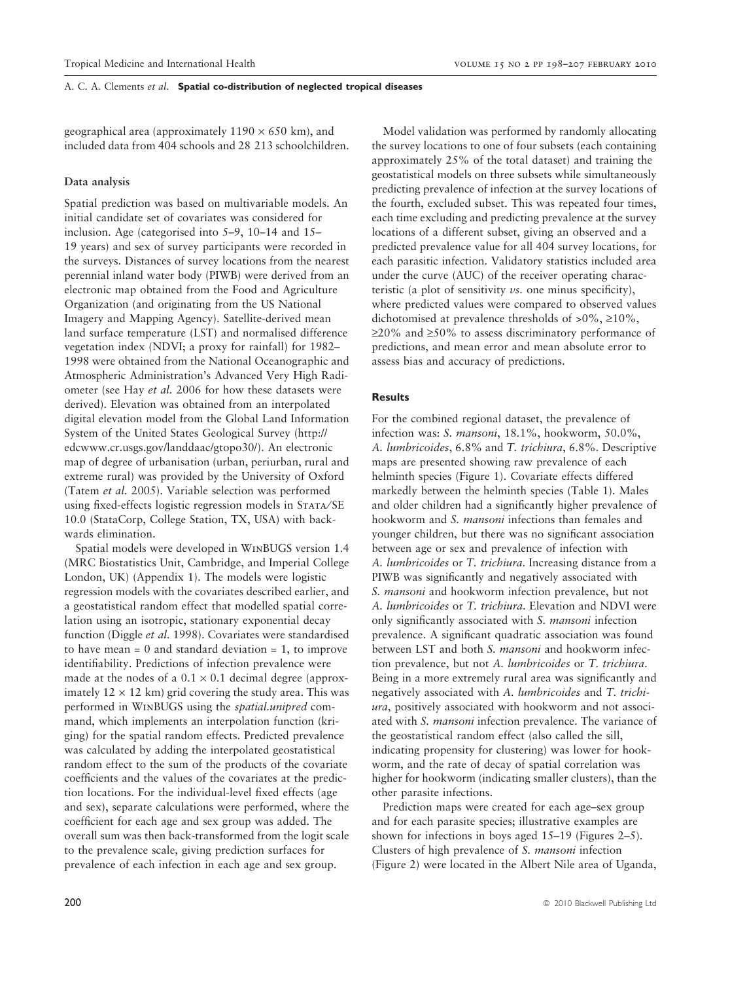geographical area (approximately  $1190 \times 650$  km), and included data from 404 schools and 28 213 schoolchildren.

# Data analysis

Spatial prediction was based on multivariable models. An initial candidate set of covariates was considered for inclusion. Age (categorised into 5–9, 10–14 and 15– 19 years) and sex of survey participants were recorded in the surveys. Distances of survey locations from the nearest perennial inland water body (PIWB) were derived from an electronic map obtained from the Food and Agriculture Organization (and originating from the US National Imagery and Mapping Agency). Satellite-derived mean land surface temperature (LST) and normalised difference vegetation index (NDVI; a proxy for rainfall) for 1982– 1998 were obtained from the National Oceanographic and Atmospheric Administration's Advanced Very High Radiometer (see Hay et al. 2006 for how these datasets were derived). Elevation was obtained from an interpolated digital elevation model from the Global Land Information System of the United States Geological Survey (http:// edcwww.cr.usgs.gov/landdaac/gtopo30/). An electronic map of degree of urbanisation (urban, periurban, rural and extreme rural) was provided by the University of Oxford (Tatem et al. 2005). Variable selection was performed using fixed-effects logistic regression models in STATA/SE 10.0 (StataCorp, College Station, TX, USA) with backwards elimination.

Spatial models were developed in WinBUGS version 1.4 (MRC Biostatistics Unit, Cambridge, and Imperial College London, UK) (Appendix 1). The models were logistic regression models with the covariates described earlier, and a geostatistical random effect that modelled spatial correlation using an isotropic, stationary exponential decay function (Diggle et al. 1998). Covariates were standardised to have mean  $= 0$  and standard deviation  $= 1$ , to improve identifiability. Predictions of infection prevalence were made at the nodes of a  $0.1 \times 0.1$  decimal degree (approximately  $12 \times 12$  km) grid covering the study area. This was performed in WinBUGS using the spatial.unipred command, which implements an interpolation function (kriging) for the spatial random effects. Predicted prevalence was calculated by adding the interpolated geostatistical random effect to the sum of the products of the covariate coefficients and the values of the covariates at the prediction locations. For the individual-level fixed effects (age and sex), separate calculations were performed, where the coefficient for each age and sex group was added. The overall sum was then back-transformed from the logit scale to the prevalence scale, giving prediction surfaces for prevalence of each infection in each age and sex group.

Model validation was performed by randomly allocating the survey locations to one of four subsets (each containing approximately 25% of the total dataset) and training the geostatistical models on three subsets while simultaneously predicting prevalence of infection at the survey locations of the fourth, excluded subset. This was repeated four times, each time excluding and predicting prevalence at the survey locations of a different subset, giving an observed and a predicted prevalence value for all 404 survey locations, for each parasitic infection. Validatory statistics included area under the curve (AUC) of the receiver operating characteristic (a plot of sensitivity  $\nu$ s. one minus specificity), where predicted values were compared to observed values dichotomised at prevalence thresholds of  $>0\%$ ,  $\geq 10\%$ ,  $\geq$ 20% and  $\geq$ 50% to assess discriminatory performance of predictions, and mean error and mean absolute error to assess bias and accuracy of predictions.

#### Results

For the combined regional dataset, the prevalence of infection was: S. mansoni, 18.1%, hookworm, 50.0%, A. lumbricoides, 6.8% and T. trichiura, 6.8%. Descriptive maps are presented showing raw prevalence of each helminth species (Figure 1). Covariate effects differed markedly between the helminth species (Table 1). Males and older children had a significantly higher prevalence of hookworm and S. *mansoni* infections than females and younger children, but there was no significant association between age or sex and prevalence of infection with A. lumbricoides or T. trichiura. Increasing distance from a PIWB was significantly and negatively associated with S. mansoni and hookworm infection prevalence, but not A. lumbricoides or T. trichiura. Elevation and NDVI were only significantly associated with S. mansoni infection prevalence. A significant quadratic association was found between LST and both S. mansoni and hookworm infection prevalence, but not A. lumbricoides or T. trichiura. Being in a more extremely rural area was significantly and negatively associated with A. lumbricoides and T. trichiura, positively associated with hookworm and not associated with S. mansoni infection prevalence. The variance of the geostatistical random effect (also called the sill, indicating propensity for clustering) was lower for hookworm, and the rate of decay of spatial correlation was higher for hookworm (indicating smaller clusters), than the other parasite infections.

Prediction maps were created for each age–sex group and for each parasite species; illustrative examples are shown for infections in boys aged 15–19 (Figures 2–5). Clusters of high prevalence of S. mansoni infection (Figure 2) were located in the Albert Nile area of Uganda,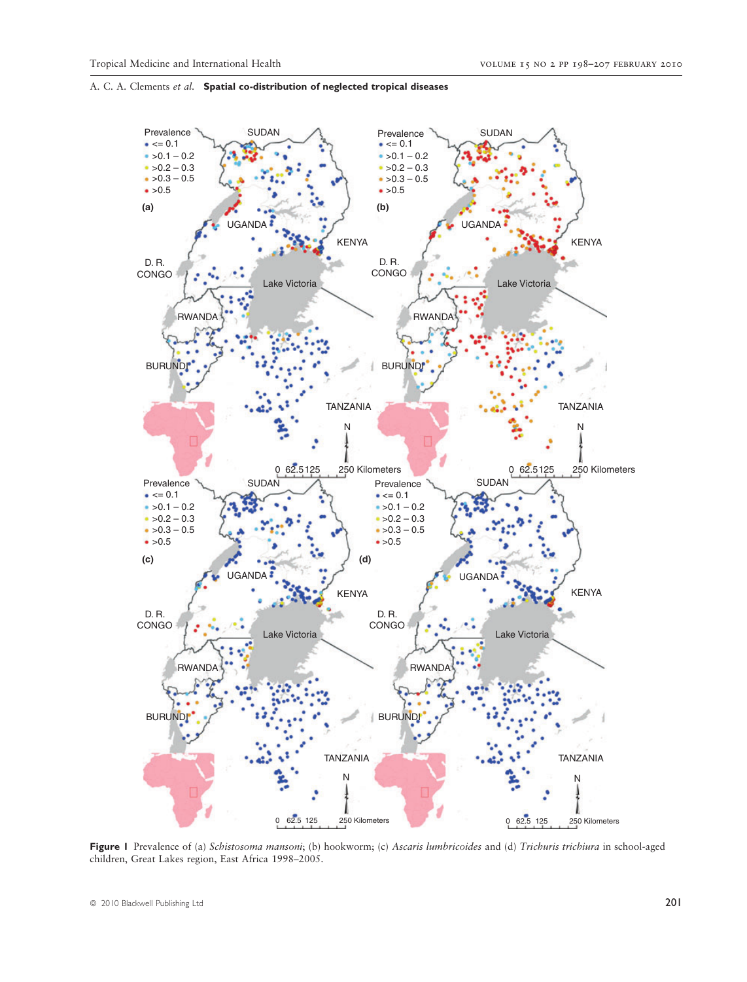

Figure 1 Prevalence of (a) Schistosoma mansoni; (b) hookworm; (c) Ascaris lumbricoides and (d) Trichuris trichiura in school-aged children, Great Lakes region, East Africa 1998–2005.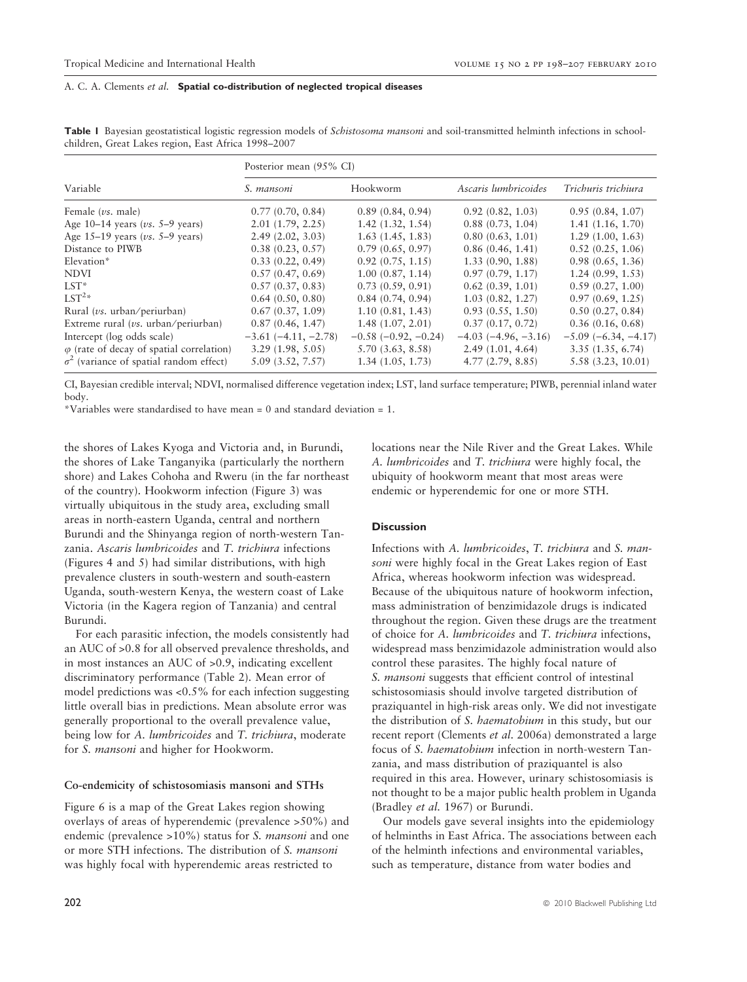| Table I Bayesian geostatistical logistic regression models of Schistosoma mansoni and soil-transmitted helminth infections in school- |  |  |  |
|---------------------------------------------------------------------------------------------------------------------------------------|--|--|--|
| children, Great Lakes region, East Africa 1998–2007                                                                                   |  |  |  |

|                                                  | Posterior mean (95% CI) |                               |                               |                       |  |  |
|--------------------------------------------------|-------------------------|-------------------------------|-------------------------------|-----------------------|--|--|
| Variable                                         | S. mansoni              | Hookworm                      | Ascaris lumbricoides          | Trichuris trichiura   |  |  |
| Female $(vs.$ male)                              | 0.77(0.70, 0.84)        | 0.89(0.84, 0.94)              | 0.92(0.82, 1.03)              | 0.95(0.84, 1.07)      |  |  |
| Age $10-14$ years ( <i>vs.</i> 5–9 years)        | 2.01(1.79, 2.25)        | 1.42(1.32, 1.54)              | 0.88(0.73, 1.04)              | 1.41(1.16, 1.70)      |  |  |
| Age $15-19$ years (vs. 5-9 years)                | 2.49(2.02, 3.03)        | 1.63(1.45, 1.83)              | 0.80(0.63, 1.01)              | 1.29(1.00, 1.63)      |  |  |
| Distance to PIWB                                 | 0.38(0.23, 0.57)        | 0.79(0.65, 0.97)              | 0.86(0.46, 1.41)              | 0.52(0.25, 1.06)      |  |  |
| Elevation*                                       | 0.33(0.22, 0.49)        | 0.92(0.75, 1.15)              | 1.33(0.90, 1.88)              | 0.98(0.65, 1.36)      |  |  |
| <b>NDVI</b>                                      | 0.57(0.47, 0.69)        | 1.00(0.87, 1.14)              | 0.97(0.79, 1.17)              | 1.24(0.99, 1.53)      |  |  |
| $LST^*$                                          | 0.57(0.37, 0.83)        | 0.73(0.59, 0.91)              | 0.62(0.39, 1.01)              | 0.59(0.27, 1.00)      |  |  |
| $LST^{2*}$                                       | 0.64(0.50, 0.80)        | 0.84(0.74, 0.94)              | 1.03(0.82, 1.27)              | 0.97(0.69, 1.25)      |  |  |
| Rural ( $\nu$ s. urban/periurban)                | 0.67(0.37, 1.09)        | 1.10(0.81, 1.43)              | 0.93(0.55, 1.50)              | 0.50(0.27, 0.84)      |  |  |
| Extreme rural ( $\nu$ s. urban/periurban)        | 0.87(0.46, 1.47)        | 1.48(1.07, 2.01)              | 0.37(0.17, 0.72)              | 0.36(0.16, 0.68)      |  |  |
| Intercept (log odds scale)                       | $-3.61(-4.11, -2.78)$   | $-0.58$ ( $-0.92$ , $-0.24$ ) | $-4.03$ ( $-4.96$ , $-3.16$ ) | $-5.09(-6.34, -4.17)$ |  |  |
| $\varphi$ (rate of decay of spatial correlation) | 3.29(1.98, 5.05)        | 5.70(3.63, 8.58)              | 2.49(1.01, 4.64)              | 3.35(1.35, 6.74)      |  |  |
| $\sigma^2$ (variance of spatial random effect)   | 5.09(3.52, 7.57)        | 1.34(1.05, 1.73)              | 4.77(2.79, 8.85)              | 5.58 (3.23, 10.01)    |  |  |

CI, Bayesian credible interval; NDVI, normalised difference vegetation index; LST, land surface temperature; PIWB, perennial inland water body.

\*Variables were standardised to have mean = 0 and standard deviation = 1.

the shores of Lakes Kyoga and Victoria and, in Burundi, the shores of Lake Tanganyika (particularly the northern shore) and Lakes Cohoha and Rweru (in the far northeast of the country). Hookworm infection (Figure 3) was virtually ubiquitous in the study area, excluding small areas in north-eastern Uganda, central and northern Burundi and the Shinyanga region of north-western Tanzania. Ascaris lumbricoides and T. trichiura infections (Figures 4 and 5) had similar distributions, with high prevalence clusters in south-western and south-eastern Uganda, south-western Kenya, the western coast of Lake Victoria (in the Kagera region of Tanzania) and central Burundi.

For each parasitic infection, the models consistently had an AUC of >0.8 for all observed prevalence thresholds, and in most instances an AUC of >0.9, indicating excellent discriminatory performance (Table 2). Mean error of model predictions was <0.5% for each infection suggesting little overall bias in predictions. Mean absolute error was generally proportional to the overall prevalence value, being low for A. lumbricoides and T. trichiura, moderate for S. mansoni and higher for Hookworm.

#### Co-endemicity of schistosomiasis mansoni and STHs

Figure 6 is a map of the Great Lakes region showing overlays of areas of hyperendemic (prevalence >50%) and endemic (prevalence >10%) status for *S. mansoni* and one or more STH infections. The distribution of S. mansoni was highly focal with hyperendemic areas restricted to

locations near the Nile River and the Great Lakes. While A. lumbricoides and T. trichiura were highly focal, the ubiquity of hookworm meant that most areas were endemic or hyperendemic for one or more STH.

#### **Discussion**

Infections with A. lumbricoides, T. trichiura and S. mansoni were highly focal in the Great Lakes region of East Africa, whereas hookworm infection was widespread. Because of the ubiquitous nature of hookworm infection, mass administration of benzimidazole drugs is indicated throughout the region. Given these drugs are the treatment of choice for A. lumbricoides and T. trichiura infections, widespread mass benzimidazole administration would also control these parasites. The highly focal nature of S. mansoni suggests that efficient control of intestinal schistosomiasis should involve targeted distribution of praziquantel in high-risk areas only. We did not investigate the distribution of S. haematobium in this study, but our recent report (Clements et al. 2006a) demonstrated a large focus of S. haematobium infection in north-western Tanzania, and mass distribution of praziquantel is also required in this area. However, urinary schistosomiasis is not thought to be a major public health problem in Uganda (Bradley et al. 1967) or Burundi.

Our models gave several insights into the epidemiology of helminths in East Africa. The associations between each of the helminth infections and environmental variables, such as temperature, distance from water bodies and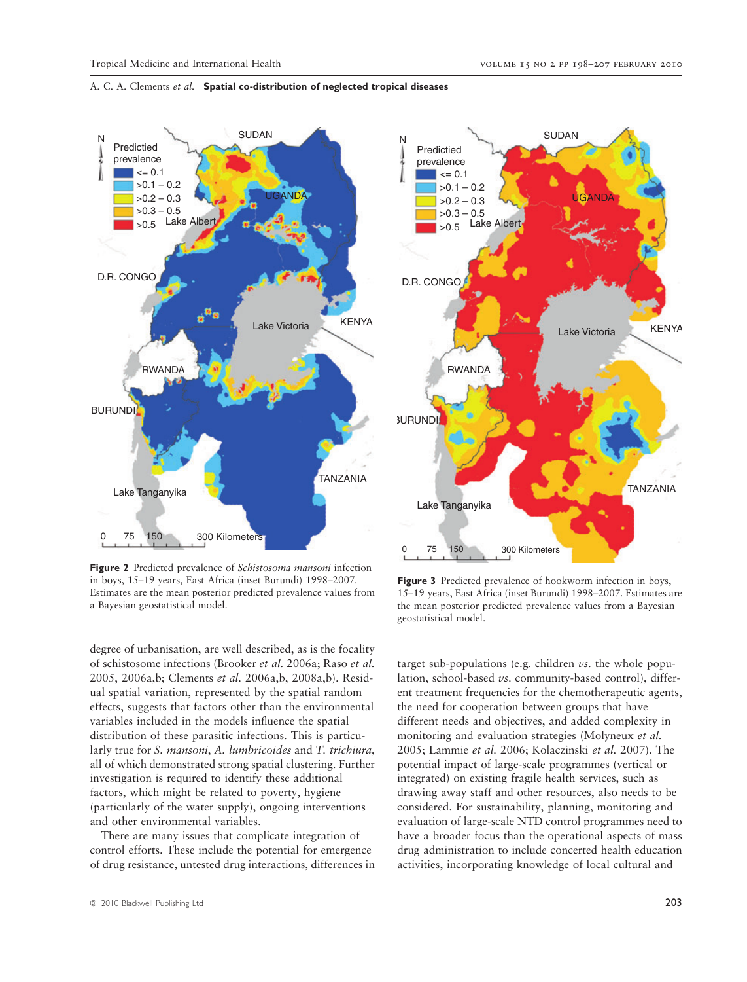**JGANDA** 

Lake Victoria

**KENYA** 

**TANZANIA** 

**SUDAN** 

# A. C. A. Clements et al. Spatial co-distribution of neglected tropical diseases



Figure 2 Predicted prevalence of Schistosoma mansoni infection in boys, 15–19 years, East Africa (inset Burundi) 1998–2007. Estimates are the mean posterior predicted prevalence values from a Bayesian geostatistical model.

degree of urbanisation, are well described, as is the focality of schistosome infections (Brooker et al. 2006a; Raso et al. 2005, 2006a,b; Clements et al. 2006a,b, 2008a,b). Residual spatial variation, represented by the spatial random effects, suggests that factors other than the environmental variables included in the models influence the spatial distribution of these parasitic infections. This is particularly true for S. mansoni, A. lumbricoides and T. trichiura, all of which demonstrated strong spatial clustering. Further investigation is required to identify these additional factors, which might be related to poverty, hygiene (particularly of the water supply), ongoing interventions and other environmental variables.

There are many issues that complicate integration of control efforts. These include the potential for emergence of drug resistance, untested drug interactions, differences in



Predictied prevalence

> $\leq$  0.1  $>0.1 - 0.2$  $>0.2 - 0.3$  $>0.3 - 0.5$

 $>0.5$ 

Lake Albert

N

D.R. CONGO

BURUNDI

RWANDA

Lake Tanganyika

Figure 3 Predicted prevalence of hookworm infection in boys, 15–19 years, East Africa (inset Burundi) 1998–2007. Estimates are the mean posterior predicted prevalence values from a Bayesian

target sub-populations (e.g. children  $\nu$ s. the whole population, school-based vs. community-based control), different treatment frequencies for the chemotherapeutic agents, the need for cooperation between groups that have different needs and objectives, and added complexity in monitoring and evaluation strategies (Molyneux et al. 2005; Lammie et al. 2006; Kolaczinski et al. 2007). The potential impact of large-scale programmes (vertical or integrated) on existing fragile health services, such as drawing away staff and other resources, also needs to be considered. For sustainability, planning, monitoring and evaluation of large-scale NTD control programmes need to have a broader focus than the operational aspects of mass drug administration to include concerted health education activities, incorporating knowledge of local cultural and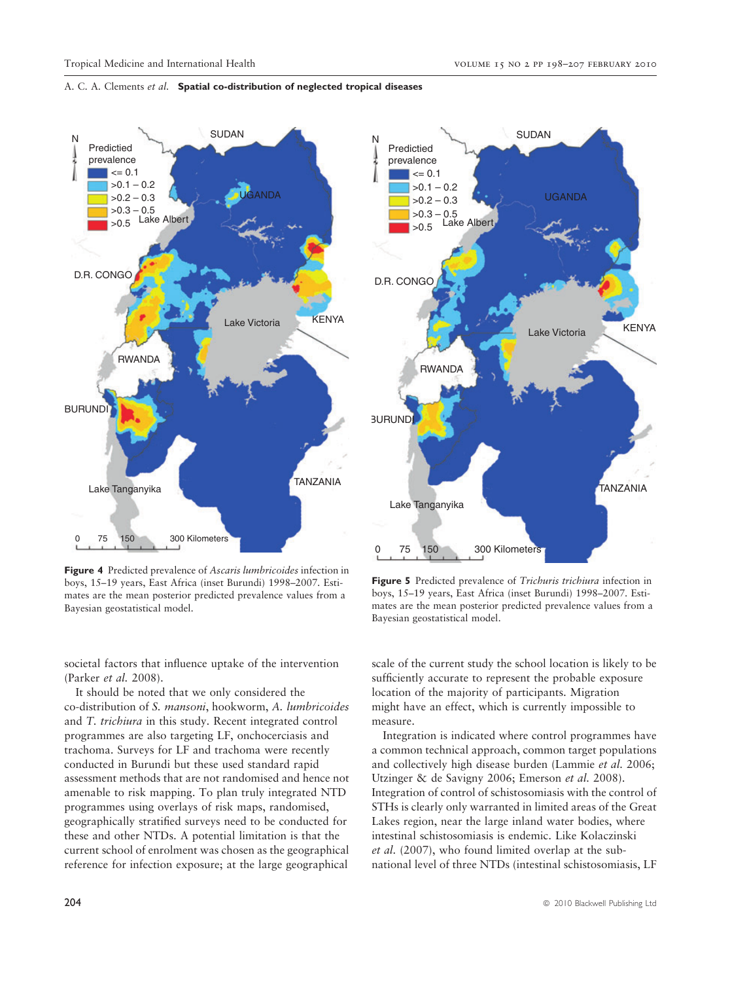

Figure 4 Predicted prevalence of Ascaris lumbricoides infection in boys, 15–19 years, East Africa (inset Burundi) 1998–2007. Estimates are the mean posterior predicted prevalence values from a Bayesian geostatistical model.

societal factors that influence uptake of the intervention (Parker et al. 2008).

It should be noted that we only considered the co-distribution of S. mansoni, hookworm, A. lumbricoides and T. trichiura in this study. Recent integrated control programmes are also targeting LF, onchocerciasis and trachoma. Surveys for LF and trachoma were recently conducted in Burundi but these used standard rapid assessment methods that are not randomised and hence not amenable to risk mapping. To plan truly integrated NTD programmes using overlays of risk maps, randomised, geographically stratified surveys need to be conducted for these and other NTDs. A potential limitation is that the current school of enrolment was chosen as the geographical reference for infection exposure; at the large geographical

Figure 5 Predicted prevalence of Trichuris trichiura infection in boys, 15–19 years, East Africa (inset Burundi) 1998–2007. Estimates are the mean posterior predicted prevalence values from a Bayesian geostatistical model.

scale of the current study the school location is likely to be sufficiently accurate to represent the probable exposure location of the majority of participants. Migration might have an effect, which is currently impossible to measure.

Integration is indicated where control programmes have a common technical approach, common target populations and collectively high disease burden (Lammie et al. 2006; Utzinger & de Savigny 2006; Emerson et al. 2008). Integration of control of schistosomiasis with the control of STHs is clearly only warranted in limited areas of the Great Lakes region, near the large inland water bodies, where intestinal schistosomiasis is endemic. Like Kolaczinski et al. (2007), who found limited overlap at the subnational level of three NTDs (intestinal schistosomiasis, LF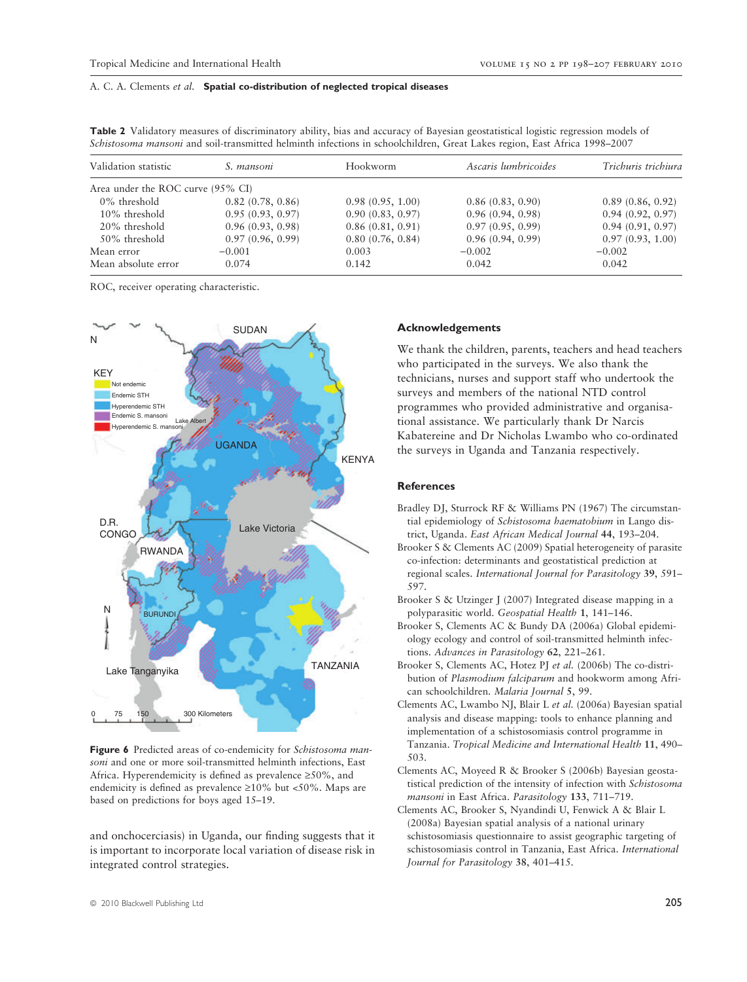| Validation statistic              | S. mansoni       | Hookworm         | Ascaris lumbricoides | Trichuris trichiura |
|-----------------------------------|------------------|------------------|----------------------|---------------------|
| Area under the ROC curve (95% CI) |                  |                  |                      |                     |
| 0% threshold                      | 0.82(0.78, 0.86) | 0.98(0.95, 1.00) | 0.86(0.83, 0.90)     | 0.89(0.86, 0.92)    |
| $10\%$ threshold                  | 0.95(0.93, 0.97) | 0.90(0.83, 0.97) | 0.96(0.94, 0.98)     | 0.94(0.92, 0.97)    |
| 20% threshold                     | 0.96(0.93, 0.98) | 0.86(0.81, 0.91) | 0.97(0.95, 0.99)     | 0.94(0.91, 0.97)    |
| 50% threshold                     | 0.97(0.96, 0.99) | 0.80(0.76, 0.84) | 0.96(0.94, 0.99)     | 0.97(0.93, 1.00)    |
| Mean error                        | $-0.001$         | 0.003            | $-0.002$             | $-0.002$            |
| Mean absolute error               | 0.074            | 0.142            | 0.042                | 0.042               |

Table 2 Validatory measures of discriminatory ability, bias and accuracy of Bayesian geostatistical logistic regression models of Schistosoma mansoni and soil-transmitted helminth infections in schoolchildren, Great Lakes region, East Africa 1998–2007

ROC, receiver operating characteristic.



Figure 6 Predicted areas of co-endemicity for Schistosoma mansoni and one or more soil-transmitted helminth infections, East Africa. Hyperendemicity is defined as prevalence  $\geq 50\%$ , and endemicity is defined as prevalence  $\geq 10\%$  but <50%. Maps are based on predictions for boys aged 15–19.

and onchocerciasis) in Uganda, our finding suggests that it is important to incorporate local variation of disease risk in integrated control strategies.

## Acknowledgements

We thank the children, parents, teachers and head teachers who participated in the surveys. We also thank the technicians, nurses and support staff who undertook the surveys and members of the national NTD control programmes who provided administrative and organisational assistance. We particularly thank Dr Narcis Kabatereine and Dr Nicholas Lwambo who co-ordinated the surveys in Uganda and Tanzania respectively.

#### References

- Bradley DJ, Sturrock RF & Williams PN (1967) The circumstantial epidemiology of Schistosoma haematobium in Lango district, Uganda. East African Medical Journal 44, 193–204.
- Brooker S & Clements AC (2009) Spatial heterogeneity of parasite co-infection: determinants and geostatistical prediction at regional scales. International Journal for Parasitology 39, 591– 597.
- Brooker S & Utzinger J (2007) Integrated disease mapping in a polyparasitic world. Geospatial Health 1, 141–146.
- Brooker S, Clements AC & Bundy DA (2006a) Global epidemiology ecology and control of soil-transmitted helminth infections. Advances in Parasitology 62, 221–261.
- Brooker S, Clements AC, Hotez PJ et al. (2006b) The co-distribution of Plasmodium falciparum and hookworm among African schoolchildren. Malaria Journal 5, 99.
- Clements AC, Lwambo NJ, Blair L et al. (2006a) Bayesian spatial analysis and disease mapping: tools to enhance planning and implementation of a schistosomiasis control programme in Tanzania. Tropical Medicine and International Health 11, 490– 503.
- Clements AC, Moyeed R & Brooker S (2006b) Bayesian geostatistical prediction of the intensity of infection with Schistosoma mansoni in East Africa. Parasitology 133, 711-719.
- Clements AC, Brooker S, Nyandindi U, Fenwick A & Blair L (2008a) Bayesian spatial analysis of a national urinary schistosomiasis questionnaire to assist geographic targeting of schistosomiasis control in Tanzania, East Africa. International Journal for Parasitology 38, 401–415.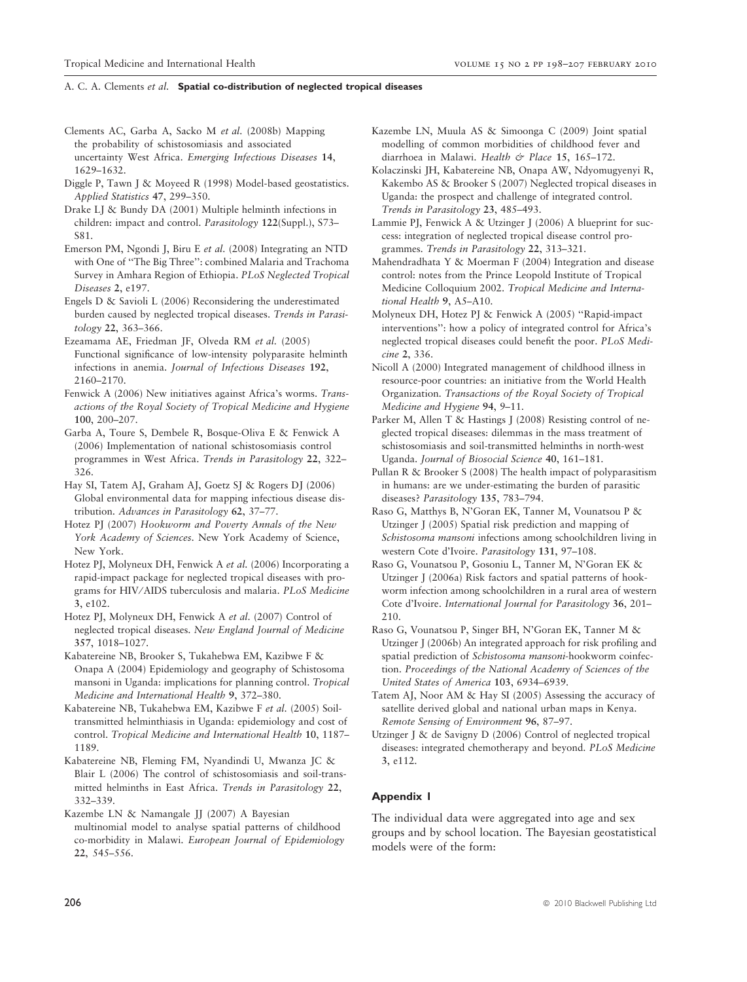- Clements AC, Garba A, Sacko M et al. (2008b) Mapping the probability of schistosomiasis and associated uncertainty West Africa. Emerging Infectious Diseases 14, 1629–1632.
- Diggle P, Tawn J & Moyeed R (1998) Model-based geostatistics. Applied Statistics 47, 299–350.
- Drake LJ & Bundy DA (2001) Multiple helminth infections in children: impact and control. Parasitology 122(Suppl.), S73– S81.
- Emerson PM, Ngondi J, Biru E et al. (2008) Integrating an NTD with One of ''The Big Three'': combined Malaria and Trachoma Survey in Amhara Region of Ethiopia. PLoS Neglected Tropical Diseases 2, e197.
- Engels D & Savioli L (2006) Reconsidering the underestimated burden caused by neglected tropical diseases. Trends in Parasitology 22, 363–366.
- Ezeamama AE, Friedman JF, Olveda RM et al. (2005) Functional significance of low-intensity polyparasite helminth infections in anemia. Journal of Infectious Diseases 192, 2160–2170.
- Fenwick A (2006) New initiatives against Africa's worms. Transactions of the Royal Society of Tropical Medicine and Hygiene 100, 200–207.
- Garba A, Toure S, Dembele R, Bosque-Oliva E & Fenwick A (2006) Implementation of national schistosomiasis control programmes in West Africa. Trends in Parasitology 22, 322– 326.
- Hay SI, Tatem AJ, Graham AJ, Goetz SJ & Rogers DJ (2006) Global environmental data for mapping infectious disease distribution. Advances in Parasitology 62, 37–77.
- Hotez PJ (2007) Hookworm and Poverty Annals of the New York Academy of Sciences. New York Academy of Science, New York.
- Hotez PJ, Molyneux DH, Fenwick A et al. (2006) Incorporating a rapid-impact package for neglected tropical diseases with programs for HIV/AIDS tuberculosis and malaria. PLoS Medicine 3, e102.
- Hotez PJ, Molyneux DH, Fenwick A et al. (2007) Control of neglected tropical diseases. New England Journal of Medicine 357, 1018–1027.
- Kabatereine NB, Brooker S, Tukahebwa EM, Kazibwe F & Onapa A (2004) Epidemiology and geography of Schistosoma mansoni in Uganda: implications for planning control. Tropical Medicine and International Health 9, 372–380.
- Kabatereine NB, Tukahebwa EM, Kazibwe F et al. (2005) Soiltransmitted helminthiasis in Uganda: epidemiology and cost of control. Tropical Medicine and International Health 10, 1187– 1189.
- Kabatereine NB, Fleming FM, Nyandindi U, Mwanza JC & Blair L (2006) The control of schistosomiasis and soil-transmitted helminths in East Africa. Trends in Parasitology 22, 332–339.
- Kazembe LN & Namangale JJ (2007) A Bayesian multinomial model to analyse spatial patterns of childhood co-morbidity in Malawi. European Journal of Epidemiology 22, 545–556.
- Kazembe LN, Muula AS & Simoonga C (2009) Joint spatial modelling of common morbidities of childhood fever and diarrhoea in Malawi. Health & Place 15, 165-172.
- Kolaczinski JH, Kabatereine NB, Onapa AW, Ndyomugyenyi R, Kakembo AS & Brooker S (2007) Neglected tropical diseases in Uganda: the prospect and challenge of integrated control. Trends in Parasitology 23, 485–493.
- Lammie PJ, Fenwick A & Utzinger J (2006) A blueprint for success: integration of neglected tropical disease control programmes. Trends in Parasitology 22, 313–321.
- Mahendradhata Y & Moerman F (2004) Integration and disease control: notes from the Prince Leopold Institute of Tropical Medicine Colloquium 2002. Tropical Medicine and International Health 9, A5–A10.
- Molyneux DH, Hotez PJ & Fenwick A (2005) ''Rapid-impact interventions'': how a policy of integrated control for Africa's neglected tropical diseases could benefit the poor. PLoS Medicine 2, 336.
- Nicoll A (2000) Integrated management of childhood illness in resource-poor countries: an initiative from the World Health Organization. Transactions of the Royal Society of Tropical Medicine and Hygiene 94, 9–11.
- Parker M, Allen T & Hastings J (2008) Resisting control of neglected tropical diseases: dilemmas in the mass treatment of schistosomiasis and soil-transmitted helminths in north-west Uganda. Journal of Biosocial Science 40, 161–181.
- Pullan R & Brooker S (2008) The health impact of polyparasitism in humans: are we under-estimating the burden of parasitic diseases? Parasitology 135, 783–794.
- Raso G, Matthys B, N'Goran EK, Tanner M, Vounatsou P & Utzinger J (2005) Spatial risk prediction and mapping of Schistosoma mansoni infections among schoolchildren living in western Cote d'Ivoire. Parasitology 131, 97–108.
- Raso G, Vounatsou P, Gosoniu L, Tanner M, N'Goran EK & Utzinger J (2006a) Risk factors and spatial patterns of hookworm infection among schoolchildren in a rural area of western Cote d'Ivoire. International Journal for Parasitology 36, 201– 210.
- Raso G, Vounatsou P, Singer BH, N'Goran EK, Tanner M & Utzinger J (2006b) An integrated approach for risk profiling and spatial prediction of Schistosoma mansoni-hookworm coinfection. Proceedings of the National Academy of Sciences of the United States of America 103, 6934–6939.
- Tatem AJ, Noor AM & Hay SI (2005) Assessing the accuracy of satellite derived global and national urban maps in Kenya. Remote Sensing of Environment 96, 87–97.
- Utzinger J & de Savigny D (2006) Control of neglected tropical diseases: integrated chemotherapy and beyond. PLoS Medicine 3, e112.

### Appendix 1

The individual data were aggregated into age and sex groups and by school location. The Bayesian geostatistical models were of the form: